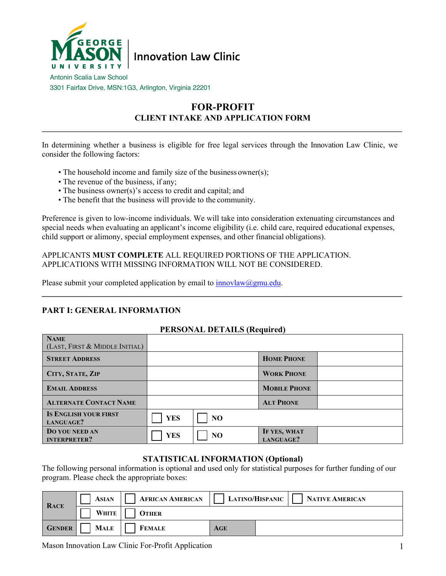

Antonin Scalia Law School 3301 Fairfax Drive, MSN:1G3, Arlington, Virginia 22201

# **FOR-PROFIT CLIENT INTAKE AND APPLICATION FORM**

In determining whether a business is eligible for free legal services through the Innovation Law Clinic, we consider the following factors:

- The household income and family size of the business owner(s);
- The revenue of the business, if any;
- The business owner(s)'s access to credit and capital; and
- The benefit that the business will provide to the community.

Preference is given to low-income individuals. We will take into consideration extenuating circumstances and special needs when evaluating an applicant's income eligibility (i.e. child care, required educational expenses, child support or alimony, special employment expenses, and other financial obligations).

APPLICANTS **MUST COMPLETE** ALL REQUIRED PORTIONS OF THE APPLICATION. APPLICATIONS WITH MISSING INFORMATION WILL NOT BE CONSIDERED.

Please submit your completed application by email to  $\frac{\text{innovlaw}(a\text{.})}{\text{inowlaw}(a\text{.})}$ 

# **PART I: GENERAL INFORMATION**

### **PERSONAL DETAILS (Required)**

| <b>NAME</b><br>(LAST, FIRST & MIDDLE INITIAL) |            |                |                           |  |
|-----------------------------------------------|------------|----------------|---------------------------|--|
| <b>STREET ADDRESS</b>                         |            |                | <b>HOME PHONE</b>         |  |
| CITY, STATE, ZIP                              |            |                | <b>WORK PHONE</b>         |  |
| <b>EMAIL ADDRESS</b>                          |            |                | <b>MOBILE PHONE</b>       |  |
| <b>ALTERNATE CONTACT NAME</b>                 |            |                | <b>ALT PHONE</b>          |  |
| <b>IS ENGLISH YOUR FIRST</b><br>LANGUAGE?     | <b>YES</b> | NO             |                           |  |
| DO YOU NEED AN<br><b>INTERPRETER?</b>         | <b>YES</b> | N <sub>O</sub> | IF YES, WHAT<br>LANGUAGE? |  |

### **STATISTICAL INFORMATION (Optional)**

The following personal information is optional and used only for statistical purposes for further funding of our program. Please check the appropriate boxes:

| <b>RACE</b>   | <b>ASIAN</b> | <b>AFRICAN AMERICAN</b> |     | <b>LATINO/HISPANIC</b> | NATIVE AMERICAN |
|---------------|--------------|-------------------------|-----|------------------------|-----------------|
|               | WHITE        | <b>OTHER</b>            |     |                        |                 |
| <b>GENDER</b> | <b>MALE</b>  | <b>FEMALE</b>           | AGE |                        |                 |

Mason Innovation Law Clinic For-Profit Application 1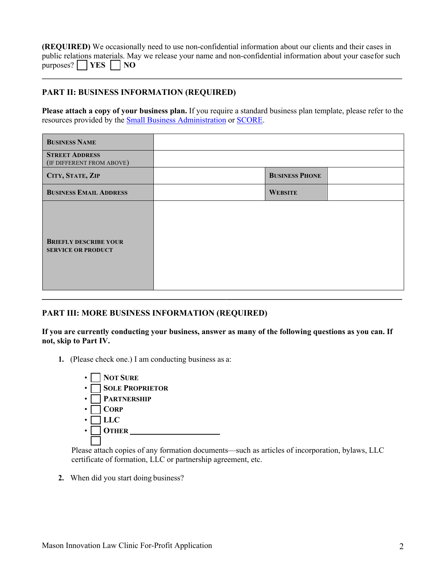**(REQUIRED)** We occasionally need to use non-confidential information about our clients and their cases in public relations materials. May we release your name and non-confidential information about your casefor such  $p$ urposes?  $\Box$  **YES**  $\Box$  **NO** 

# **PART II: BUSINESS INFORMATION (REQUIRED)**

**Please attach a copy of your business plan.** If you require a standard business plan template, please refer to the resources provided by the Small Business Administration or SCORE.

| <b>BUSINESS NAME</b>                                      |                       |  |
|-----------------------------------------------------------|-----------------------|--|
| <b>STREET ADDRESS</b><br>(IF DIFFERENT FROM ABOVE)        |                       |  |
| CITY, STATE, ZIP                                          | <b>BUSINESS PHONE</b> |  |
| <b>BUSINESS EMAIL ADDRESS</b>                             | <b>WEBSITE</b>        |  |
| <b>BRIEFLY DESCRIBE YOUR</b><br><b>SERVICE OR PRODUCT</b> |                       |  |

### **PART III: MORE BUSINESS INFORMATION (REQUIRED)**

**If you are currently conducting your business, answer as many of the following questions as you can. If not, skip to Part IV.**

**1.** (Please check one.) I am conducting business as a:



Please attach copies of any formation documents—such as articles of incorporation, bylaws, LLC certificate of formation, LLC or partnership agreement, etc.

**2.** When did you start doing business?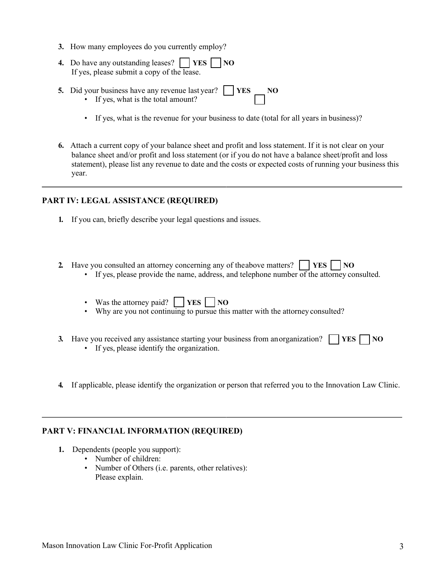- **3.** How many employees do you currently employ?
- **4.** Do have any outstanding leases?  $\vert$  **YES**  $\vert$  **NO** If yes, please submit a copy of the lease.
- **5.** Did your business have any revenue last year? • If yes, what is the total amount? **YES NO**
	- If yes, what is the revenue for your business to date (total for all years in business)?
- **6.** Attach a current copy of your balance sheet and profit and loss statement. If it is not clear on your balance sheet and/or profit and loss statement (or if you do not have a balance sheet/profit and loss statement), please list any revenue to date and the costs or expected costs of running your business this year.

# **PART IV: LEGAL ASSISTANCE (REQUIRED)**

- **1.** If you can, briefly describe your legal questions and issues.
- **2.** Have you consulted an attorney concerning any of theabove matters? **YES NO** 
	- $\bullet$  If yes, please provide the name, address, and telephone number of the attorney consulted.
	- Was the attorney paid?  $\Box$  **YES**  $\Box$  **NO**
	- Why are you not continuing to pursue this matter with the attorney consulted?
- **3.** Have you received any assistance starting your business from anorganization?  $T$  **YES**  $\Gamma$  **NO** 
	- If yes, please identify the organization.
- **4.** If applicable, please identify the organization or person that referred you to the Innovation Law Clinic.

#### **PART V: FINANCIAL INFORMATION (REQUIRED)**

- **1.** Dependents (people you support):
	- Number of children:
	- Number of Others (i.e. parents, other relatives): Please explain.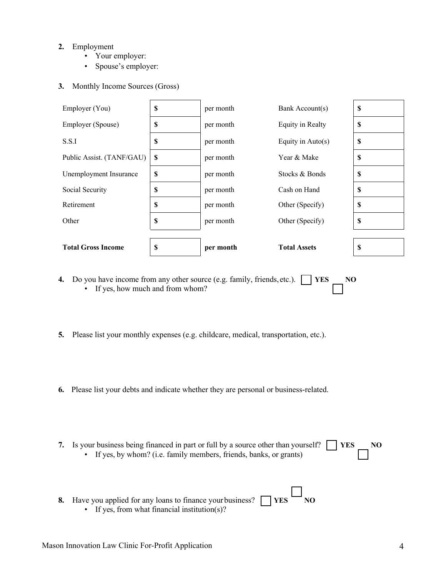### **2.** Employment

- Your employer:
- Spouse's employer:
- **3.** Monthly Income Sources (Gross)



- **4.** Do you have income from any other source (e.g. family, friends, etc.). • If yes, how much and from whom? **YES NO**
- **5.** Please list your monthly expenses (e.g. childcare, medical, transportation, etc.).
- **6.** Please list your debts and indicate whether they are personal or business-related.
- **7.** Is your business being financed in part or full by a source other than yourself? • If yes, by whom? (i.e. family members, friends, banks, or grants) **YES NO**
- **8.** Have you applied for any loans to finance your business? • If yes, from what financial institution(s)?  $YES$  **NO**